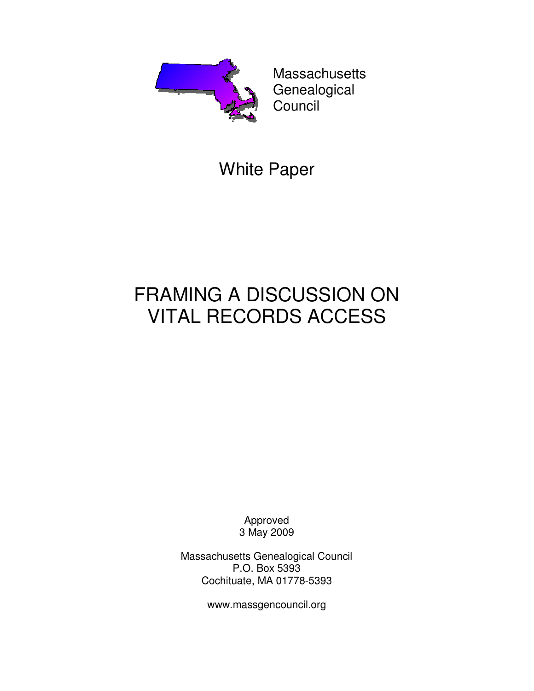

**Massachusetts** Genealogical Council

## White Paper

# FRAMING A DISCUSSION ON VITAL RECORDS ACCESS

Approved 3 May 2009

Massachusetts Genealogical Council P.O. Box 5393 Cochituate, MA 01778-5393

www.massgencouncil.org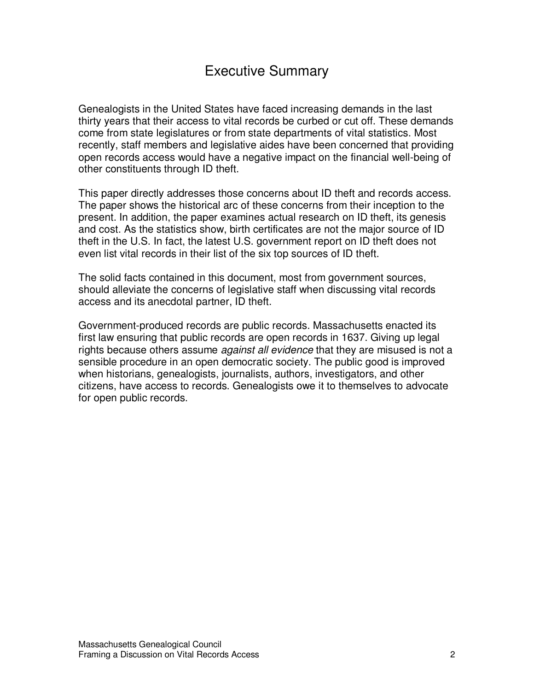### Executive Summary

Genealogists in the United States have faced increasing demands in the last thirty years that their access to vital records be curbed or cut off. These demands come from state legislatures or from state departments of vital statistics. Most recently, staff members and legislative aides have been concerned that providing open records access would have a negative impact on the financial well-being of other constituents through ID theft.

This paper directly addresses those concerns about ID theft and records access. The paper shows the historical arc of these concerns from their inception to the present. In addition, the paper examines actual research on ID theft, its genesis and cost. As the statistics show, birth certificates are not the major source of ID theft in the U.S. In fact, the latest U.S. government report on ID theft does not even list vital records in their list of the six top sources of ID theft.

The solid facts contained in this document, most from government sources, should alleviate the concerns of legislative staff when discussing vital records access and its anecdotal partner, ID theft.

Government-produced records are public records. Massachusetts enacted its first law ensuring that public records are open records in 1637. Giving up legal rights because others assume *against all evidence* that they are misused is not a sensible procedure in an open democratic society. The public good is improved when historians, genealogists, journalists, authors, investigators, and other citizens, have access to records. Genealogists owe it to themselves to advocate for open public records.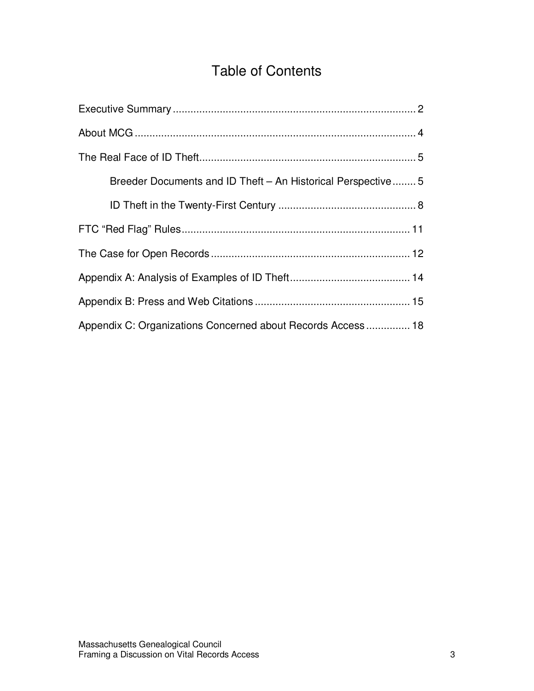### Table of Contents

| Breeder Documents and ID Theft - An Historical Perspective 5 |
|--------------------------------------------------------------|
|                                                              |
|                                                              |
|                                                              |
|                                                              |
|                                                              |
| Appendix C: Organizations Concerned about Records Access 18  |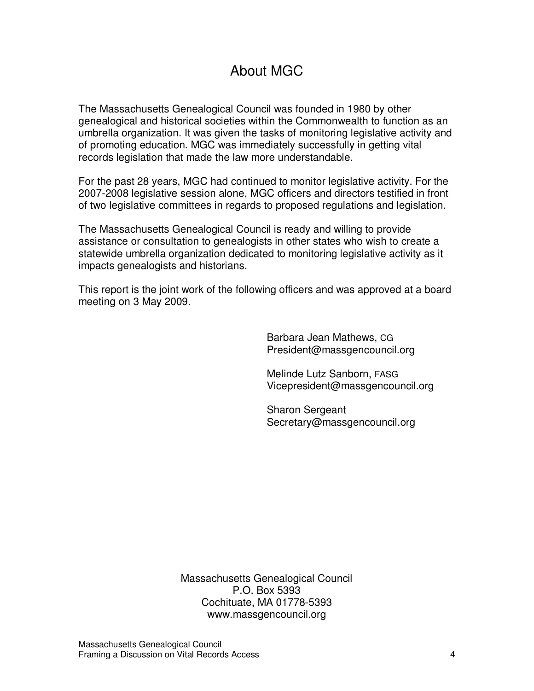### About MGC

The Massachusetts Genealogical Council was founded in 1980 by other genealogical and historical societies within the Commonwealth to function as an umbrella organization. It was given the tasks of monitoring legislative activity and of promoting education. MGC was immediately successfully in getting vital records legislation that made the law more understandable.

For the past 28 years, MGC had continued to monitor legislative activity. For the 2007-2008 legislative session alone, MGC officers and directors testified in front of two legislative committees in regards to proposed regulations and legislation.

The Massachusetts Genealogical Council is ready and willing to provide assistance or consultation to genealogists in other states who wish to create a statewide umbrella organization dedicated to monitoring legislative activity as it impacts genealogists and historians.

This report is the joint work of the following officers and was approved at a board meeting on 3 May 2009.

> Barbara Jean Mathews, CG President@massgencouncil.org

Melinde Lutz Sanborn, FASG Vicepresident@massgencouncil.org

Sharon Sergeant Secretary@massgencouncil.org

Massachusetts Genealogical Council P.O. Box 5393 Cochituate, MA 01778-5393 www.massgencouncil.org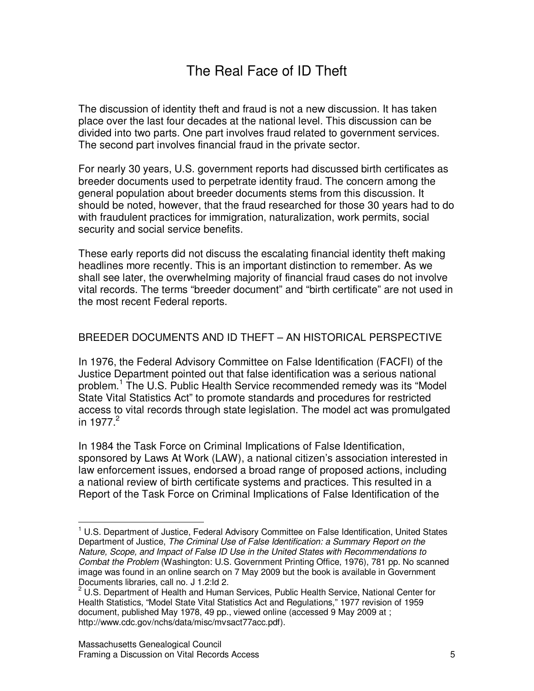### The Real Face of ID Theft

The discussion of identity theft and fraud is not a new discussion. It has taken place over the last four decades at the national level. This discussion can be divided into two parts. One part involves fraud related to government services. The second part involves financial fraud in the private sector.

For nearly 30 years, U.S. government reports had discussed birth certificates as breeder documents used to perpetrate identity fraud. The concern among the general population about breeder documents stems from this discussion. It should be noted, however, that the fraud researched for those 30 years had to do with fraudulent practices for immigration, naturalization, work permits, social security and social service benefits.

These early reports did not discuss the escalating financial identity theft making headlines more recently. This is an important distinction to remember. As we shall see later, the overwhelming majority of financial fraud cases do not involve vital records. The terms "breeder document" and "birth certificate" are not used in the most recent Federal reports.

#### BREEDER DOCUMENTS AND ID THEFT – AN HISTORICAL PERSPECTIVE

In 1976, the Federal Advisory Committee on False Identification (FACFI) of the Justice Department pointed out that false identification was a serious national problem.<sup>1</sup> The U.S. Public Health Service recommended remedy was its "Model State Vital Statistics Act" to promote standards and procedures for restricted access to vital records through state legislation. The model act was promulgated in 1977. $^2$ 

In 1984 the Task Force on Criminal Implications of False Identification, sponsored by Laws At Work (LAW), a national citizen's association interested in law enforcement issues, endorsed a broad range of proposed actions, including a national review of birth certificate systems and practices. This resulted in a Report of the Task Force on Criminal Implications of False Identification of the

<sup>&</sup>lt;sup>1</sup> U.S. Department of Justice, Federal Advisory Committee on False Identification, United States Department of Justice, The Criminal Use of False Identification: a Summary Report on the Nature, Scope, and Impact of False ID Use in the United States with Recommendations to Combat the Problem (Washington: U.S. Government Printing Office, 1976), 781 pp. No scanned image was found in an online search on 7 May 2009 but the book is available in Government Documents libraries, call no. J 1.2:Id 2.

<sup>&</sup>lt;sup>2</sup> U.S. Department of Health and Human Services, Public Health Service, National Center for Health Statistics, "Model State Vital Statistics Act and Regulations," 1977 revision of 1959 document, published May 1978, 49 pp., viewed online (accessed 9 May 2009 at ; http://www.cdc.gov/nchs/data/misc/mvsact77acc.pdf).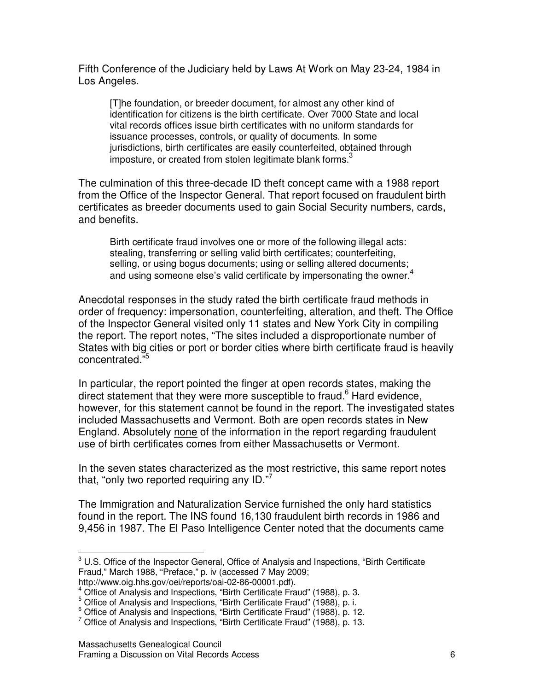Fifth Conference of the Judiciary held by Laws At Work on May 23-24, 1984 in Los Angeles.

[T]he foundation, or breeder document, for almost any other kind of identification for citizens is the birth certificate. Over 7000 State and local vital records offices issue birth certificates with no uniform standards for issuance processes, controls, or quality of documents. In some jurisdictions, birth certificates are easily counterfeited, obtained through imposture, or created from stolen legitimate blank forms. $3$ 

The culmination of this three-decade ID theft concept came with a 1988 report from the Office of the Inspector General. That report focused on fraudulent birth certificates as breeder documents used to gain Social Security numbers, cards, and benefits.

Birth certificate fraud involves one or more of the following illegal acts: stealing, transferring or selling valid birth certificates; counterfeiting, selling, or using bogus documents; using or selling altered documents; and using someone else's valid certificate by impersonating the owner.<sup>4</sup>

Anecdotal responses in the study rated the birth certificate fraud methods in order of frequency: impersonation, counterfeiting, alteration, and theft. The Office of the Inspector General visited only 11 states and New York City in compiling the report. The report notes, "The sites included a disproportionate number of States with big cities or port or border cities where birth certificate fraud is heavily concentrated."

In particular, the report pointed the finger at open records states, making the direct statement that they were more susceptible to fraud.<sup>6</sup> Hard evidence, however, for this statement cannot be found in the report. The investigated states included Massachusetts and Vermont. Both are open records states in New England. Absolutely none of the information in the report regarding fraudulent use of birth certificates comes from either Massachusetts or Vermont.

In the seven states characterized as the most restrictive, this same report notes that, "only two reported requiring any ID."<sup>7</sup>

The Immigration and Naturalization Service furnished the only hard statistics found in the report. The INS found 16,130 fraudulent birth records in 1986 and 9,456 in 1987. The El Paso Intelligence Center noted that the documents came

 $3$  U.S. Office of the Inspector General, Office of Analysis and Inspections, "Birth Certificate Fraud," March 1988, "Preface," p. iv (accessed 7 May 2009; http://www.oig.hhs.gov/oei/reports/oai-02-86-00001.pdf).

<sup>&</sup>lt;sup>4</sup> Office of Analysis and Inspections, "Birth Certificate Fraud" (1988), p. 3.

<sup>&</sup>lt;sup>5</sup> Office of Analysis and Inspections, "Birth Certificate Fraud" (1988), p. i.

 $^6$  Office of Analysis and Inspections, "Birth Certificate Fraud" (1988), p. 12.

 $7$  Office of Analysis and Inspections, "Birth Certificate Fraud" (1988), p. 13.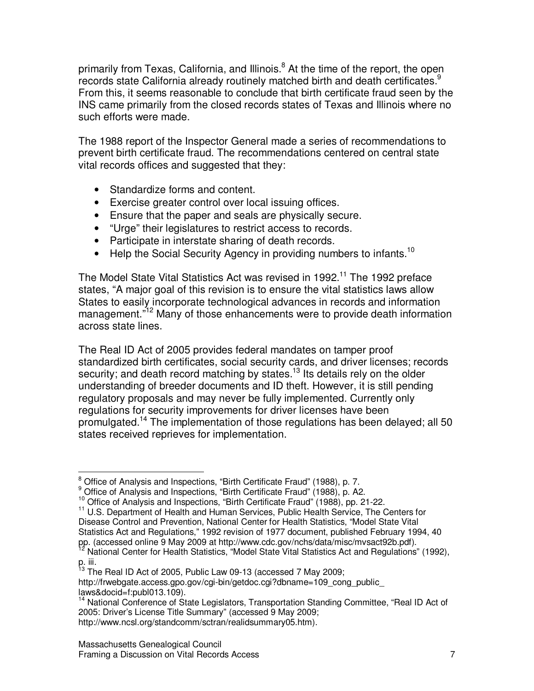primarily from Texas, California, and Illinois.<sup>8</sup> At the time of the report, the open records state California already routinely matched birth and death certificates.<sup>9</sup> From this, it seems reasonable to conclude that birth certificate fraud seen by the INS came primarily from the closed records states of Texas and Illinois where no such efforts were made.

The 1988 report of the Inspector General made a series of recommendations to prevent birth certificate fraud. The recommendations centered on central state vital records offices and suggested that they:

- Standardize forms and content.
- Exercise greater control over local issuing offices.
- Ensure that the paper and seals are physically secure.
- "Urge" their legislatures to restrict access to records.
- Participate in interstate sharing of death records.
- Help the Social Security Agency in providing numbers to infants.<sup>10</sup>

The Model State Vital Statistics Act was revised in 1992.<sup>11</sup> The 1992 preface states, "A major goal of this revision is to ensure the vital statistics laws allow States to easily incorporate technological advances in records and information management.<sup>"12</sup> Many of those enhancements were to provide death information across state lines.

The Real ID Act of 2005 provides federal mandates on tamper proof standardized birth certificates, social security cards, and driver licenses; records security; and death record matching by states.<sup>13</sup> Its details rely on the older understanding of breeder documents and ID theft. However, it is still pending regulatory proposals and may never be fully implemented. Currently only regulations for security improvements for driver licenses have been promulgated.<sup>14</sup> The implementation of those regulations has been delayed; all 50 states received reprieves for implementation.

<sup>&</sup>lt;sup>8</sup> Office of Analysis and Inspections, "Birth Certificate Fraud" (1988), p. 7.

<sup>&</sup>lt;sup>9</sup> Office of Analysis and Inspections, "Birth Certificate Fraud" (1988), p. A2.

<sup>10</sup> Office of Analysis and Inspections, "Birth Certificate Fraud" (1988), pp. 21-22.

<sup>&</sup>lt;sup>11</sup> U.S. Department of Health and Human Services, Public Health Service, The Centers for Disease Control and Prevention, National Center for Health Statistics, "Model State Vital Statistics Act and Regulations," 1992 revision of 1977 document, published February 1994, 40 pp. (accessed online 9 May 2009 at http://www.cdc.gov/nchs/data/misc/mvsact92b.pdf).

 $2$  National Center for Health Statistics, "Model State Vital Statistics Act and Regulations" (1992),  $p$ . iii.

The Real ID Act of 2005, Public Law 09-13 (accessed 7 May 2009;

http://frwebgate.access.gpo.gov/cgi-bin/getdoc.cgi?dbname=109\_cong\_public laws&docid=f:publ013.109).

<sup>&</sup>lt;sup>14</sup> National Conference of State Legislators, Transportation Standing Committee, "Real ID Act of 2005: Driver's License Title Summary" (accessed 9 May 2009;

http://www.ncsl.org/standcomm/sctran/realidsummary05.htm).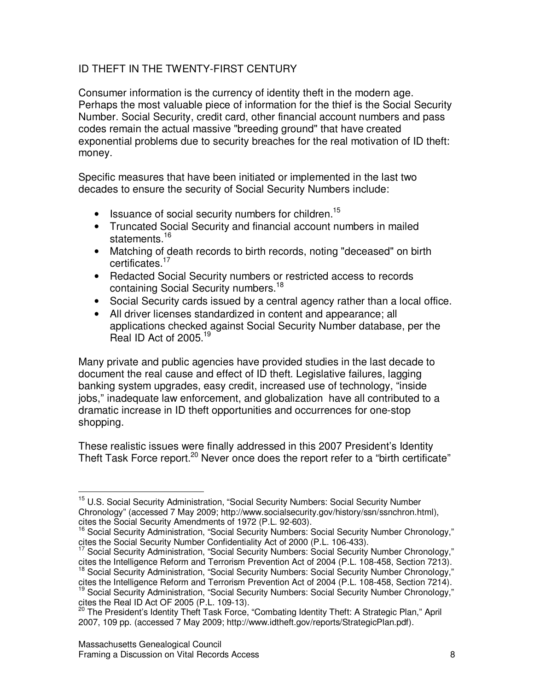#### ID THEFT IN THE TWENTY-FIRST CENTURY

Consumer information is the currency of identity theft in the modern age. Perhaps the most valuable piece of information for the thief is the Social Security Number. Social Security, credit card, other financial account numbers and pass codes remain the actual massive "breeding ground" that have created exponential problems due to security breaches for the real motivation of ID theft: money.

Specific measures that have been initiated or implemented in the last two decades to ensure the security of Social Security Numbers include:

- $\bullet$  Issuance of social security numbers for children.<sup>15</sup>
- Truncated Social Security and financial account numbers in mailed statements.<sup>16</sup>
- Matching of death records to birth records, noting "deceased" on birth certificates.<sup>17</sup>
- Redacted Social Security numbers or restricted access to records containing Social Security numbers.<sup>18</sup>
- Social Security cards issued by a central agency rather than a local office.
- All driver licenses standardized in content and appearance; all applications checked against Social Security Number database, per the Real ID Act of 2005.<sup>19</sup>

Many private and public agencies have provided studies in the last decade to document the real cause and effect of ID theft. Legislative failures, lagging banking system upgrades, easy credit, increased use of technology, "inside jobs," inadequate law enforcement, and globalization have all contributed to a dramatic increase in ID theft opportunities and occurrences for one-stop shopping.

These realistic issues were finally addressed in this 2007 President's Identity Theft Task Force report.<sup>20</sup> Never once does the report refer to a "birth certificate"

<sup>&</sup>lt;sup>15</sup> U.S. Social Security Administration, "Social Security Numbers: Social Security Number Chronology" (accessed 7 May 2009; http://www.socialsecurity.gov/history/ssn/ssnchron.html), cites the Social Security Amendments of 1972 (P.L. 92-603).

<sup>&</sup>lt;sup>16</sup> Social Security Administration, "Social Security Numbers: Social Security Number Chronology," cites the Social Security Number Confidentiality Act of 2000 (P.L. 106-433).

<sup>&</sup>lt;sup>17</sup> Social Security Administration, "Social Security Numbers: Social Security Number Chronology," cites the Intelligence Reform and Terrorism Prevention Act of 2004 (P.L. 108-458, Section 7213).

<sup>18</sup> Social Security Administration, "Social Security Numbers: Social Security Number Chronology,"

cites the Intelligence Reform and Terrorism Prevention Act of 2004 (P.L. 108-458, Section 7214).

<sup>&</sup>lt;sup>19</sup> Social Security Administration, "Social Security Numbers: Social Security Number Chronology," cites the Real ID Act OF 2005 (P.L. 109-13).

<sup>&</sup>lt;sup>20</sup> The President's Identity Theft Task Force, "Combating Identity Theft: A Strategic Plan," April 2007, 109 pp. (accessed 7 May 2009; http://www.idtheft.gov/reports/StrategicPlan.pdf).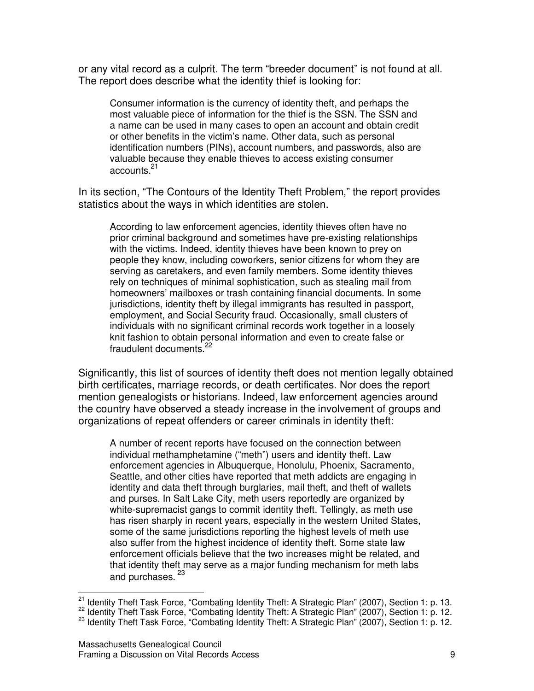or any vital record as a culprit. The term "breeder document" is not found at all. The report does describe what the identity thief is looking for:

Consumer information is the currency of identity theft, and perhaps the most valuable piece of information for the thief is the SSN. The SSN and a name can be used in many cases to open an account and obtain credit or other benefits in the victim's name. Other data, such as personal identification numbers (PINs), account numbers, and passwords, also are valuable because they enable thieves to access existing consumer accounts.<sup>21</sup>

In its section, "The Contours of the Identity Theft Problem," the report provides statistics about the ways in which identities are stolen.

According to law enforcement agencies, identity thieves often have no prior criminal background and sometimes have pre-existing relationships with the victims. Indeed, identity thieves have been known to prey on people they know, including coworkers, senior citizens for whom they are serving as caretakers, and even family members. Some identity thieves rely on techniques of minimal sophistication, such as stealing mail from homeowners' mailboxes or trash containing financial documents. In some jurisdictions, identity theft by illegal immigrants has resulted in passport, employment, and Social Security fraud. Occasionally, small clusters of individuals with no significant criminal records work together in a loosely knit fashion to obtain personal information and even to create false or fraudulent documents.<sup>22</sup>

Significantly, this list of sources of identity theft does not mention legally obtained birth certificates, marriage records, or death certificates. Nor does the report mention genealogists or historians. Indeed, law enforcement agencies around the country have observed a steady increase in the involvement of groups and organizations of repeat offenders or career criminals in identity theft:

A number of recent reports have focused on the connection between individual methamphetamine ("meth") users and identity theft. Law enforcement agencies in Albuquerque, Honolulu, Phoenix, Sacramento, Seattle, and other cities have reported that meth addicts are engaging in identity and data theft through burglaries, mail theft, and theft of wallets and purses. In Salt Lake City, meth users reportedly are organized by white-supremacist gangs to commit identity theft. Tellingly, as meth use has risen sharply in recent years, especially in the western United States, some of the same jurisdictions reporting the highest levels of meth use also suffer from the highest incidence of identity theft. Some state law enforcement officials believe that the two increases might be related, and that identity theft may serve as a major funding mechanism for meth labs and purchases.<sup>23</sup>

<sup>&</sup>lt;sup>21</sup> Identity Theft Task Force, "Combating Identity Theft: A Strategic Plan" (2007), Section 1: p. 13.

<sup>22</sup> Identity Theft Task Force, "Combating Identity Theft: A Strategic Plan" (2007), Section 1: p. 12.

 $^{23}$  Identity Theft Task Force, "Combating Identity Theft: A Strategic Plan" (2007), Section 1: p. 12.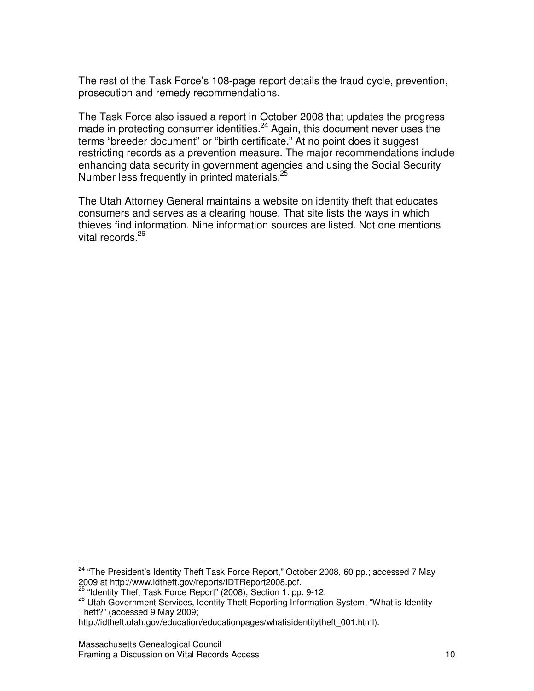The rest of the Task Force's 108-page report details the fraud cycle, prevention, prosecution and remedy recommendations.

The Task Force also issued a report in October 2008 that updates the progress made in protecting consumer identities.<sup>24</sup> Again, this document never uses the terms "breeder document" or "birth certificate." At no point does it suggest restricting records as a prevention measure. The major recommendations include enhancing data security in government agencies and using the Social Security Number less frequently in printed materials.<sup>25</sup>

The Utah Attorney General maintains a website on identity theft that educates consumers and serves as a clearing house. That site lists the ways in which thieves find information. Nine information sources are listed. Not one mentions vital records.<sup>26</sup>

<sup>&</sup>lt;sup>24</sup> "The President's Identity Theft Task Force Report," October 2008, 60 pp.; accessed 7 May 2009 at http://www.idtheft.gov/reports/IDTReport2008.pdf.

<sup>25</sup> "Identity Theft Task Force Report" (2008), Section 1: pp. 9-12.

<sup>26</sup> Utah Government Services, Identity Theft Reporting Information System, "What is Identity" Theft?" (accessed 9 May 2009;

http://idtheft.utah.gov/education/educationpages/whatisidentitytheft\_001.html).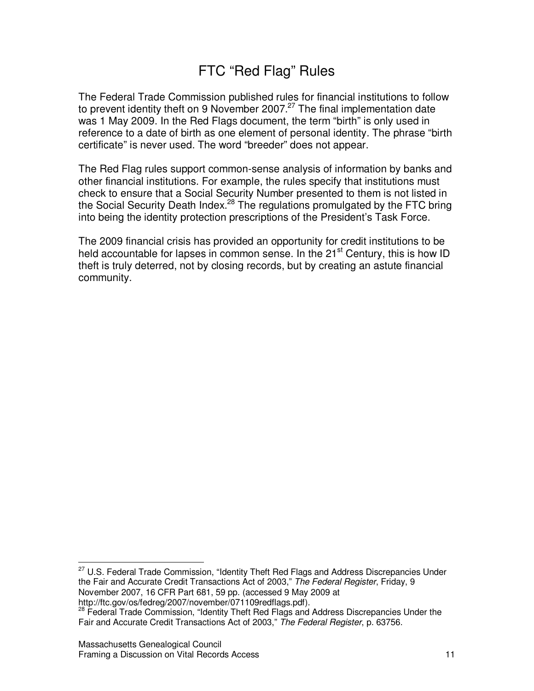### FTC "Red Flag" Rules

The Federal Trade Commission published rules for financial institutions to follow to prevent identity theft on 9 November 2007. $27$  The final implementation date was 1 May 2009. In the Red Flags document, the term "birth" is only used in reference to a date of birth as one element of personal identity. The phrase "birth certificate" is never used. The word "breeder" does not appear.

The Red Flag rules support common-sense analysis of information by banks and other financial institutions. For example, the rules specify that institutions must check to ensure that a Social Security Number presented to them is not listed in the Social Security Death Index.<sup>28</sup> The regulations promulgated by the FTC bring into being the identity protection prescriptions of the President's Task Force.

The 2009 financial crisis has provided an opportunity for credit institutions to be held accountable for lapses in common sense. In the  $21<sup>st</sup>$  Century, this is how ID theft is truly deterred, not by closing records, but by creating an astute financial community.

<sup>&</sup>lt;sup>27</sup> U.S. Federal Trade Commission, "Identity Theft Red Flags and Address Discrepancies Under the Fair and Accurate Credit Transactions Act of 2003," The Federal Register, Friday, 9 November 2007, 16 CFR Part 681, 59 pp. (accessed 9 May 2009 at http://ftc.gov/os/fedreg/2007/november/071109redflags.pdf).

<sup>&</sup>lt;sup>28</sup> Federal Trade Commission, "Identity Theft Red Flags and Address Discrepancies Under the Fair and Accurate Credit Transactions Act of 2003," The Federal Register, p. 63756.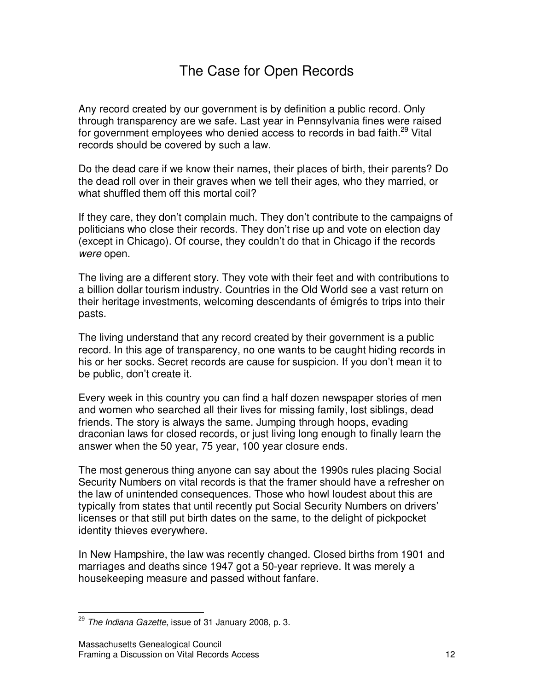### The Case for Open Records

Any record created by our government is by definition a public record. Only through transparency are we safe. Last year in Pennsylvania fines were raised for government employees who denied access to records in bad faith.<sup>29</sup> Vital records should be covered by such a law.

Do the dead care if we know their names, their places of birth, their parents? Do the dead roll over in their graves when we tell their ages, who they married, or what shuffled them off this mortal coil?

If they care, they don't complain much. They don't contribute to the campaigns of politicians who close their records. They don't rise up and vote on election day (except in Chicago). Of course, they couldn't do that in Chicago if the records were open.

The living are a different story. They vote with their feet and with contributions to a billion dollar tourism industry. Countries in the Old World see a vast return on their heritage investments, welcoming descendants of émigrés to trips into their pasts.

The living understand that any record created by their government is a public record. In this age of transparency, no one wants to be caught hiding records in his or her socks. Secret records are cause for suspicion. If you don't mean it to be public, don't create it.

Every week in this country you can find a half dozen newspaper stories of men and women who searched all their lives for missing family, lost siblings, dead friends. The story is always the same. Jumping through hoops, evading draconian laws for closed records, or just living long enough to finally learn the answer when the 50 year, 75 year, 100 year closure ends.

The most generous thing anyone can say about the 1990s rules placing Social Security Numbers on vital records is that the framer should have a refresher on the law of unintended consequences. Those who howl loudest about this are typically from states that until recently put Social Security Numbers on drivers' licenses or that still put birth dates on the same, to the delight of pickpocket identity thieves everywhere.

In New Hampshire, the law was recently changed. Closed births from 1901 and marriages and deaths since 1947 got a 50-year reprieve. It was merely a housekeeping measure and passed without fanfare.

<sup>&</sup>lt;sup>29</sup> The Indiana Gazette, issue of 31 January 2008, p. 3.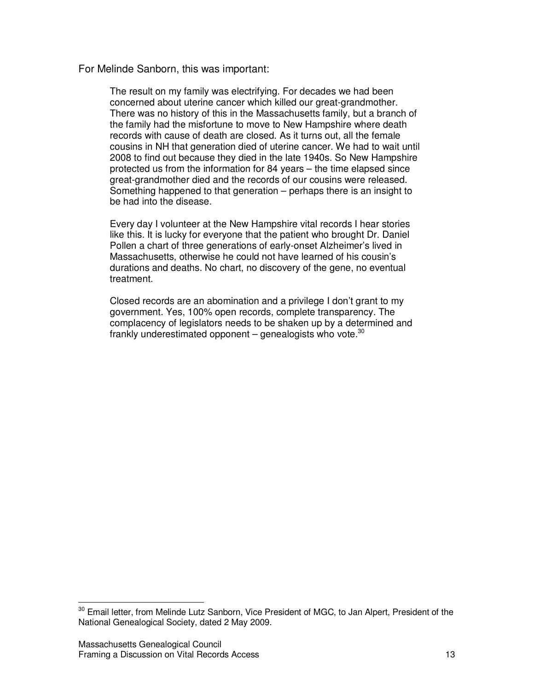For Melinde Sanborn, this was important:

The result on my family was electrifying. For decades we had been concerned about uterine cancer which killed our great-grandmother. There was no history of this in the Massachusetts family, but a branch of the family had the misfortune to move to New Hampshire where death records with cause of death are closed. As it turns out, all the female cousins in NH that generation died of uterine cancer. We had to wait until 2008 to find out because they died in the late 1940s. So New Hampshire protected us from the information for 84 years – the time elapsed since great-grandmother died and the records of our cousins were released. Something happened to that generation – perhaps there is an insight to be had into the disease.

Every day I volunteer at the New Hampshire vital records I hear stories like this. It is lucky for everyone that the patient who brought Dr. Daniel Pollen a chart of three generations of early-onset Alzheimer's lived in Massachusetts, otherwise he could not have learned of his cousin's durations and deaths. No chart, no discovery of the gene, no eventual treatment.

Closed records are an abomination and a privilege I don't grant to my government. Yes, 100% open records, complete transparency. The complacency of legislators needs to be shaken up by a determined and frankly underestimated opponent - genealogists who vote.<sup>30</sup>

<sup>&</sup>lt;sup>30</sup> Email letter, from Melinde Lutz Sanborn, Vice President of MGC, to Jan Alpert, President of the National Genealogical Society, dated 2 May 2009.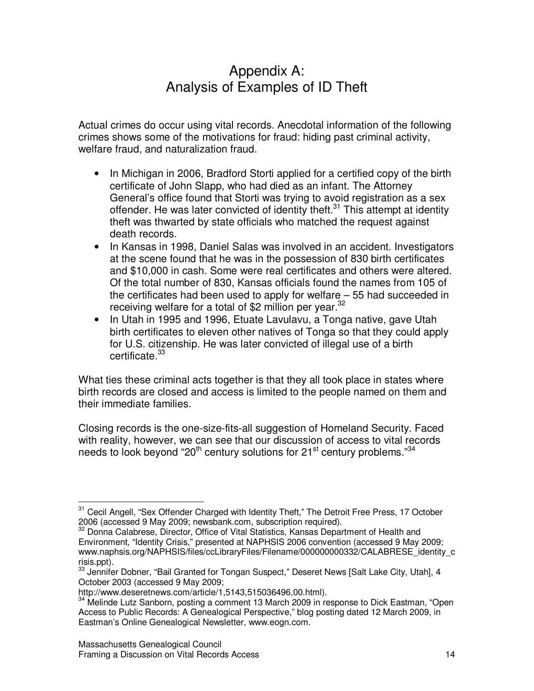### Appendix A: Analysis of Examples of ID Theft

Actual crimes do occur using vital records. Anecdotal information of the following crimes shows some of the motivations for fraud: hiding past criminal activity, welfare fraud, and naturalization fraud.

- In Michigan in 2006, Bradford Storti applied for a certified copy of the birth certificate of John Slapp, who had died as an infant. The Attorney General's office found that Storti was trying to avoid registration as a sex offender. He was later convicted of identity theft. $31$  This attempt at identity theft was thwarted by state officials who matched the request against death records.
- In Kansas in 1998, Daniel Salas was involved in an accident. Investigators at the scene found that he was in the possession of 830 birth certificates and \$10,000 in cash. Some were real certificates and others were altered. Of the total number of 830, Kansas officials found the names from 105 of the certificates had been used to apply for welfare – 55 had succeeded in receiving welfare for a total of \$2 million per year.<sup>32</sup>
- In Utah in 1995 and 1996, Etuate Lavulavu, a Tonga native, gave Utah birth certificates to eleven other natives of Tonga so that they could apply for U.S. citizenship. He was later convicted of illegal use of a birth certificate.<sup>33</sup>

What ties these criminal acts together is that they all took place in states where birth records are closed and access is limited to the people named on them and their immediate families.

Closing records is the one-size-fits-all suggestion of Homeland Security. Faced with reality, however, we can see that our discussion of access to vital records needs to look beyond "20<sup>th</sup> century solutions for 21<sup>st</sup> century problems."<sup>34</sup>

<sup>&</sup>lt;sup>31</sup> Cecil Angell, "Sex Offender Charged with Identity Theft," The Detroit Free Press, 17 October 2006 (accessed 9 May 2009; newsbank.com, subscription required).<br><sup>32</sup> Donna Calabrese, Director, Office of Vital Statistics, Kansas Donar

<sup>32</sup> Donna Calabrese, Director, Office of Vital Statistics, Kansas Department of Health and Environment, "Identity Crisis," presented at NAPHSIS 2006 convention (accessed 9 May 2009; www.naphsis.org/NAPHSIS/files/ccLibraryFiles/Filename/000000000332/CALABRESE\_identity\_c risis.ppt).

<sup>33</sup> Jennifer Dobner, "Bail Granted for Tongan Suspect," Deseret News [Salt Lake City, Utah], 4 October 2003 (accessed 9 May 2009;

http://www.deseretnews.com/article/1,5143,515036496,00.html).

<sup>&</sup>lt;sup>34</sup> Melinde Lutz Sanborn, posting a comment 13 March 2009 in response to Dick Eastman, "Open Access to Public Records: A Genealogical Perspective," blog posting dated 12 March 2009, in Eastman's Online Genealogical Newsletter, www.eogn.com.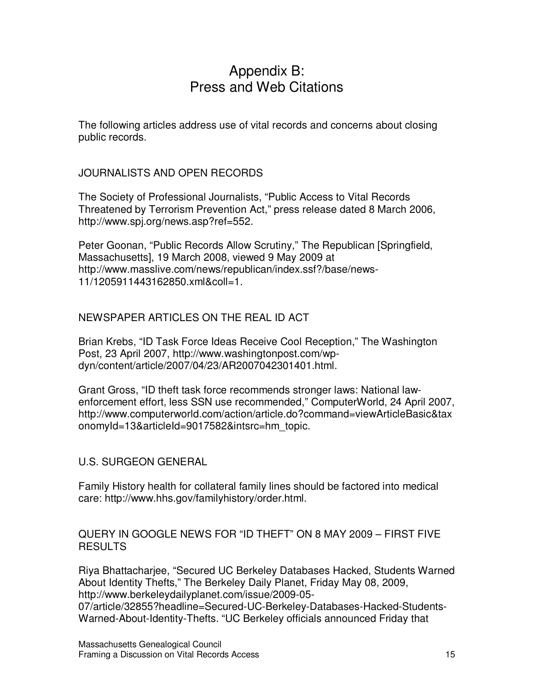#### Appendix B: Press and Web Citations

The following articles address use of vital records and concerns about closing public records.

JOURNALISTS AND OPEN RECORDS

The Society of Professional Journalists, "Public Access to Vital Records Threatened by Terrorism Prevention Act," press release dated 8 March 2006, http://www.spj.org/news.asp?ref=552.

Peter Goonan, "Public Records Allow Scrutiny," The Republican [Springfield, Massachusetts], 19 March 2008, viewed 9 May 2009 at http://www.masslive.com/news/republican/index.ssf?/base/news-11/1205911443162850.xml&coll=1.

#### NEWSPAPER ARTICLES ON THE REAL ID ACT

Brian Krebs, "ID Task Force Ideas Receive Cool Reception," The Washington Post, 23 April 2007, http://www.washingtonpost.com/wpdyn/content/article/2007/04/23/AR2007042301401.html.

Grant Gross, "ID theft task force recommends stronger laws: National lawenforcement effort, less SSN use recommended," ComputerWorld, 24 April 2007, http://www.computerworld.com/action/article.do?command=viewArticleBasic&tax onomyId=13&articleId=9017582&intsrc=hm\_topic.

#### U.S. SURGEON GENERAL

Family History health for collateral family lines should be factored into medical care: http://www.hhs.gov/familyhistory/order.html.

#### QUERY IN GOOGLE NEWS FOR "ID THEFT" ON 8 MAY 2009 – FIRST FIVE RESULTS

Riya Bhattacharjee, "Secured UC Berkeley Databases Hacked, Students Warned About Identity Thefts," The Berkeley Daily Planet, Friday May 08, 2009, http://www.berkeleydailyplanet.com/issue/2009-05-

07/article/32855?headline=Secured-UC-Berkeley-Databases-Hacked-Students-Warned-About-Identity-Thefts. "UC Berkeley officials announced Friday that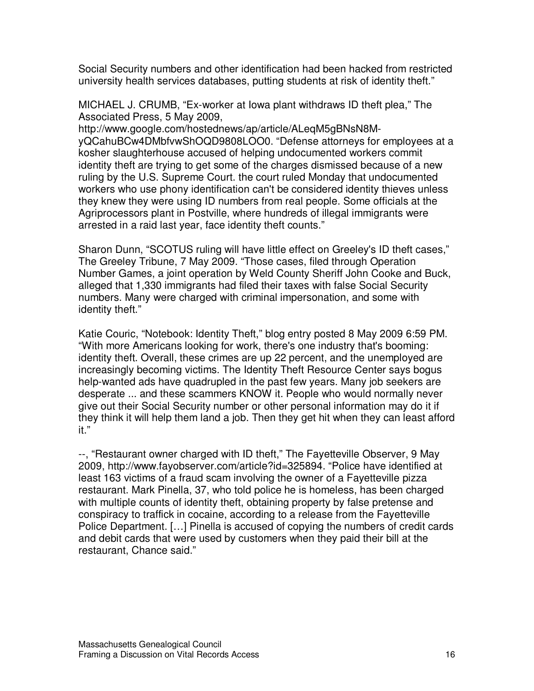Social Security numbers and other identification had been hacked from restricted university health services databases, putting students at risk of identity theft."

MICHAEL J. CRUMB, "Ex-worker at Iowa plant withdraws ID theft plea," The Associated Press, 5 May 2009,

http://www.google.com/hostednews/ap/article/ALeqM5gBNsN8MyQCahuBCw4DMbfvwShOQD9808LOO0. "Defense attorneys for employees at a kosher slaughterhouse accused of helping undocumented workers commit identity theft are trying to get some of the charges dismissed because of a new ruling by the U.S. Supreme Court. the court ruled Monday that undocumented workers who use phony identification can't be considered identity thieves unless they knew they were using ID numbers from real people. Some officials at the Agriprocessors plant in Postville, where hundreds of illegal immigrants were arrested in a raid last year, face identity theft counts."

Sharon Dunn, "SCOTUS ruling will have little effect on Greeley's ID theft cases," The Greeley Tribune, 7 May 2009. "Those cases, filed through Operation Number Games, a joint operation by Weld County Sheriff John Cooke and Buck, alleged that 1,330 immigrants had filed their taxes with false Social Security numbers. Many were charged with criminal impersonation, and some with identity theft."

Katie Couric, "Notebook: Identity Theft," blog entry posted 8 May 2009 6:59 PM. "With more Americans looking for work, there's one industry that's booming: identity theft. Overall, these crimes are up 22 percent, and the unemployed are increasingly becoming victims. The Identity Theft Resource Center says bogus help-wanted ads have quadrupled in the past few years. Many job seekers are desperate ... and these scammers KNOW it. People who would normally never give out their Social Security number or other personal information may do it if they think it will help them land a job. Then they get hit when they can least afford it."

--, "Restaurant owner charged with ID theft," The Fayetteville Observer, 9 May 2009, http://www.fayobserver.com/article?id=325894. "Police have identified at least 163 victims of a fraud scam involving the owner of a Fayetteville pizza restaurant. Mark Pinella, 37, who told police he is homeless, has been charged with multiple counts of identity theft, obtaining property by false pretense and conspiracy to traffick in cocaine, according to a release from the Fayetteville Police Department. […] Pinella is accused of copying the numbers of credit cards and debit cards that were used by customers when they paid their bill at the restaurant, Chance said."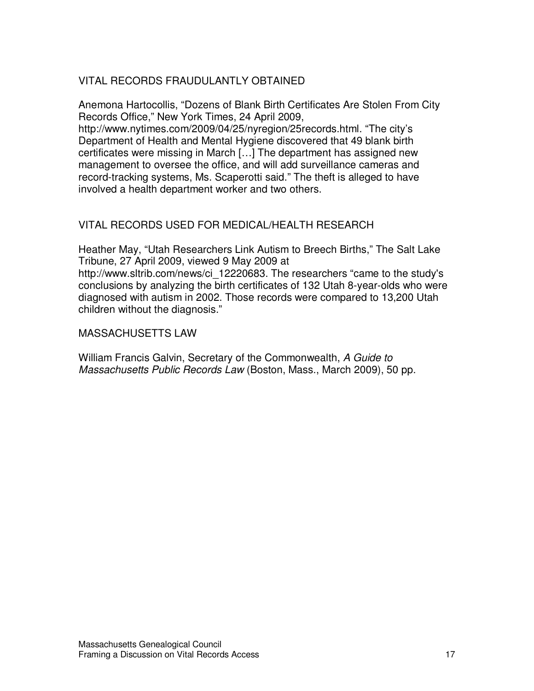#### VITAL RECORDS FRAUDULANTLY OBTAINED

Anemona Hartocollis, "Dozens of Blank Birth Certificates Are Stolen From City Records Office," New York Times, 24 April 2009,

http://www.nytimes.com/2009/04/25/nyregion/25records.html. "The city's Department of Health and Mental Hygiene discovered that 49 blank birth certificates were missing in March […] The department has assigned new management to oversee the office, and will add surveillance cameras and record-tracking systems, Ms. Scaperotti said." The theft is alleged to have involved a health department worker and two others.

#### VITAL RECORDS USED FOR MEDICAL/HEALTH RESEARCH

Heather May, "Utah Researchers Link Autism to Breech Births," The Salt Lake Tribune, 27 April 2009, viewed 9 May 2009 at http://www.sltrib.com/news/ci\_12220683. The researchers "came to the study's conclusions by analyzing the birth certificates of 132 Utah 8-year-olds who were diagnosed with autism in 2002. Those records were compared to 13,200 Utah children without the diagnosis."

#### MASSACHUSETTS LAW

William Francis Galvin, Secretary of the Commonwealth, A Guide to Massachusetts Public Records Law (Boston, Mass., March 2009), 50 pp.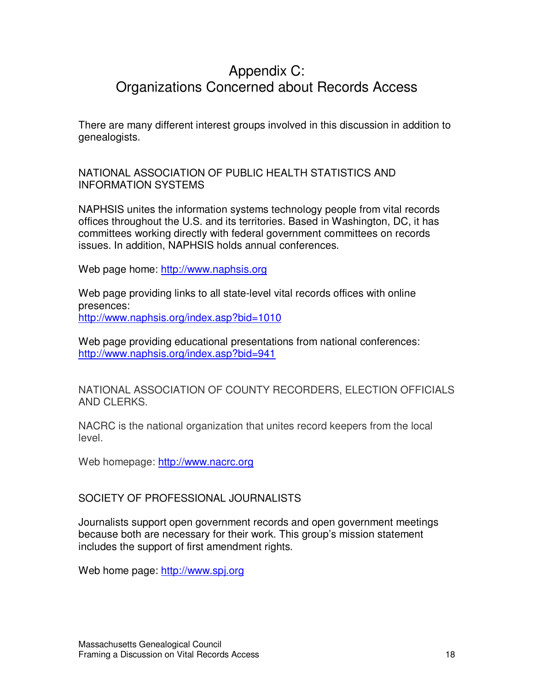### Appendix C: Organizations Concerned about Records Access

There are many different interest groups involved in this discussion in addition to genealogists.

NATIONAL ASSOCIATION OF PUBLIC HEALTH STATISTICS AND INFORMATION SYSTEMS

NAPHSIS unites the information systems technology people from vital records offices throughout the U.S. and its territories. Based in Washington, DC, it has committees working directly with federal government committees on records issues. In addition, NAPHSIS holds annual conferences.

Web page home: http://www.naphsis.org

Web page providing links to all state-level vital records offices with online presences: http://www.naphsis.org/index.asp?bid=1010

Web page providing educational presentations from national conferences: http://www.naphsis.org/index.asp?bid=941

NATIONAL ASSOCIATION OF COUNTY RECORDERS, ELECTION OFFICIALS AND CLERKS.

NACRC is the national organization that unites record keepers from the local level.

Web homepage: http://www.nacrc.org

SOCIETY OF PROFESSIONAL JOURNALISTS

Journalists support open government records and open government meetings because both are necessary for their work. This group's mission statement includes the support of first amendment rights.

Web home page: http://www.spj.org